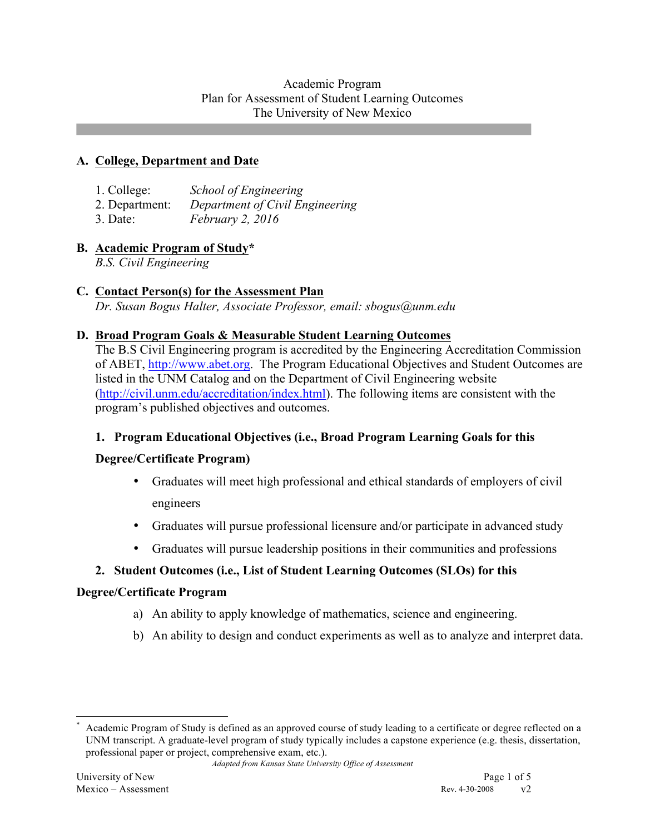## Academic Program Plan for Assessment of Student Learning Outcomes The University of New Mexico

## **A. College, Department and Date**

| 1. College:    | <b>School of Engineering</b>    |
|----------------|---------------------------------|
| 2. Department: | Department of Civil Engineering |
| $3.$ Date:     | <i>February 2, 2016</i>         |

## **B. Academic Program of Study\***

*B.S. Civil Engineering*

## **C. Contact Person(s) for the Assessment Plan**

*Dr. Susan Bogus Halter, Associate Professor, email: sbogus@unm.edu*

#### **D. Broad Program Goals & Measurable Student Learning Outcomes**

The B.S Civil Engineering program is accredited by the Engineering Accreditation Commission of ABET, http://www.abet.org. The Program Educational Objectives and Student Outcomes are listed in the UNM Catalog and on the Department of Civil Engineering website (http://civil.unm.edu/accreditation/index.html). The following items are consistent with the program's published objectives and outcomes.

# **1. Program Educational Objectives (i.e., Broad Program Learning Goals for this**

#### **Degree/Certificate Program)**

- Graduates will meet high professional and ethical standards of employers of civil engineers
- Graduates will pursue professional licensure and/or participate in advanced study
- Graduates will pursue leadership positions in their communities and professions

# **2. Student Outcomes (i.e., List of Student Learning Outcomes (SLOs) for this**

#### **Degree/Certificate Program**

- a) An ability to apply knowledge of mathematics, science and engineering.
- b) An ability to design and conduct experiments as well as to analyze and interpret data.

Academic Program of Study is defined as an approved course of study leading to a certificate or degree reflected on a UNM transcript. A graduate-level program of study typically includes a capstone experience (e.g. thesis, dissertation, professional paper or project, comprehensive exam, etc.).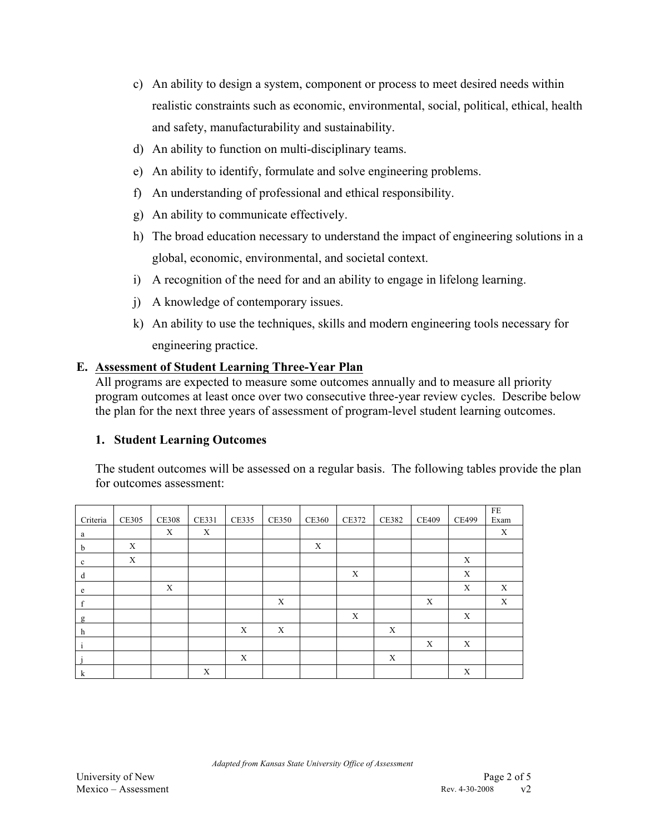- c) An ability to design a system, component or process to meet desired needs within realistic constraints such as economic, environmental, social, political, ethical, health and safety, manufacturability and sustainability.
- d) An ability to function on multi-disciplinary teams.
- e) An ability to identify, formulate and solve engineering problems.
- f) An understanding of professional and ethical responsibility.
- g) An ability to communicate effectively.
- h) The broad education necessary to understand the impact of engineering solutions in a global, economic, environmental, and societal context.
- i) A recognition of the need for and an ability to engage in lifelong learning.
- j) A knowledge of contemporary issues.
- k) An ability to use the techniques, skills and modern engineering tools necessary for engineering practice.

#### **E. Assessment of Student Learning Three-Year Plan**

All programs are expected to measure some outcomes annually and to measure all priority program outcomes at least once over two consecutive three-year review cycles. Describe below the plan for the next three years of assessment of program-level student learning outcomes.

#### **1. Student Learning Outcomes**

The student outcomes will be assessed on a regular basis. The following tables provide the plan for outcomes assessment:

| Criteria    | <b>CE305</b> | <b>CE308</b> | <b>CE331</b> | <b>CE335</b> | <b>CE350</b> | <b>CE360</b> | CE372                     | <b>CE382</b> | <b>CE409</b> | <b>CE499</b>              | FE<br>Exam |
|-------------|--------------|--------------|--------------|--------------|--------------|--------------|---------------------------|--------------|--------------|---------------------------|------------|
| a           |              | X            | X            |              |              |              |                           |              |              |                           | X          |
| b           | X            |              |              |              |              | X            |                           |              |              |                           |            |
| $\mathbf c$ | X            |              |              |              |              |              |                           |              |              | $\boldsymbol{\mathrm{X}}$ |            |
| d           |              |              |              |              |              |              | $\boldsymbol{\mathrm{X}}$ |              |              | X                         |            |
| e           |              | X            |              |              |              |              |                           |              |              | X                         | X          |
| f           |              |              |              |              | X            |              |                           |              | X            |                           | X          |
| g           |              |              |              |              |              |              | X                         |              |              | X                         |            |
| h           |              |              |              | X            | X            |              |                           | X            |              |                           |            |
|             |              |              |              |              |              |              |                           |              | X            | X                         |            |
|             |              |              |              | X            |              |              |                           | $\mathbf X$  |              |                           |            |
| k           |              |              | X            |              |              |              |                           |              |              | X                         |            |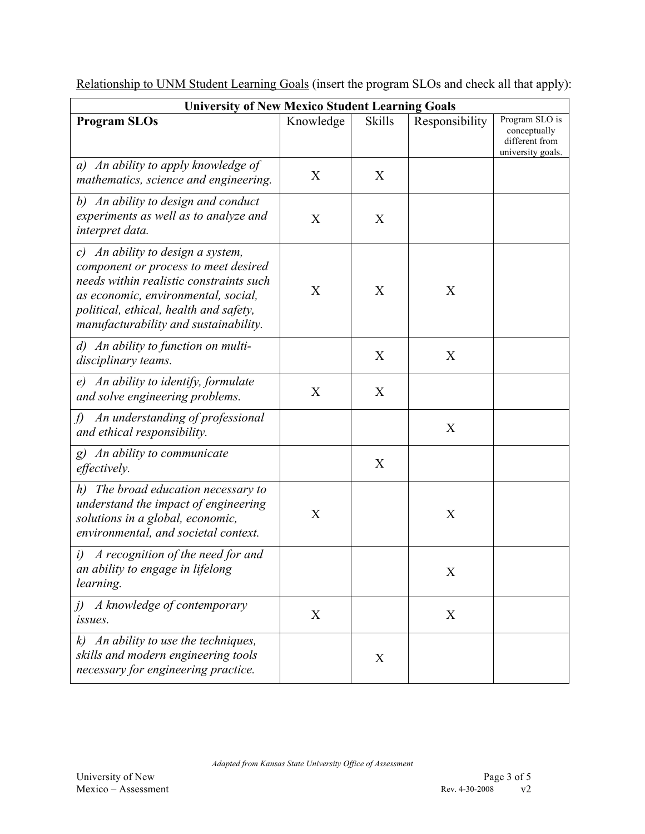| <b>University of New Mexico Student Learning Goals</b>                                                                                                                                                                                         |           |               |                |                                                                       |  |  |  |  |
|------------------------------------------------------------------------------------------------------------------------------------------------------------------------------------------------------------------------------------------------|-----------|---------------|----------------|-----------------------------------------------------------------------|--|--|--|--|
| <b>Program SLOs</b>                                                                                                                                                                                                                            | Knowledge | <b>Skills</b> | Responsibility | Program SLO is<br>conceptually<br>different from<br>university goals. |  |  |  |  |
| a) An ability to apply knowledge of<br>mathematics, science and engineering.                                                                                                                                                                   | X         | X             |                |                                                                       |  |  |  |  |
| b) An ability to design and conduct<br>experiments as well as to analyze and<br>interpret data.                                                                                                                                                | X         | X             |                |                                                                       |  |  |  |  |
| c) An ability to design a system,<br>component or process to meet desired<br>needs within realistic constraints such<br>as economic, environmental, social,<br>political, ethical, health and safety,<br>manufacturability and sustainability. | X         | X             | X              |                                                                       |  |  |  |  |
| d) An ability to function on multi-<br>disciplinary teams.                                                                                                                                                                                     |           | X             | X              |                                                                       |  |  |  |  |
| An ability to identify, formulate<br>e)<br>and solve engineering problems.                                                                                                                                                                     | X         | X             |                |                                                                       |  |  |  |  |
| An understanding of professional<br>f)<br>and ethical responsibility.                                                                                                                                                                          |           |               | X              |                                                                       |  |  |  |  |
| g) An ability to communicate<br>effectively.                                                                                                                                                                                                   |           | X             |                |                                                                       |  |  |  |  |
| The broad education necessary to<br>h)<br>understand the impact of engineering<br>solutions in a global, economic,<br>environmental, and societal context.                                                                                     | X         |               | X              |                                                                       |  |  |  |  |
| A recognition of the need for and<br>i)<br>an ability to engage in lifelong<br>learning.                                                                                                                                                       |           |               | X              |                                                                       |  |  |  |  |
| A knowledge of contemporary<br>i)<br><i>issues.</i>                                                                                                                                                                                            | X         |               | X              |                                                                       |  |  |  |  |
| $k$ ) An ability to use the techniques,<br>skills and modern engineering tools<br>necessary for engineering practice.                                                                                                                          |           | X             |                |                                                                       |  |  |  |  |

Relationship to UNM Student Learning Goals (insert the program SLOs and check all that apply):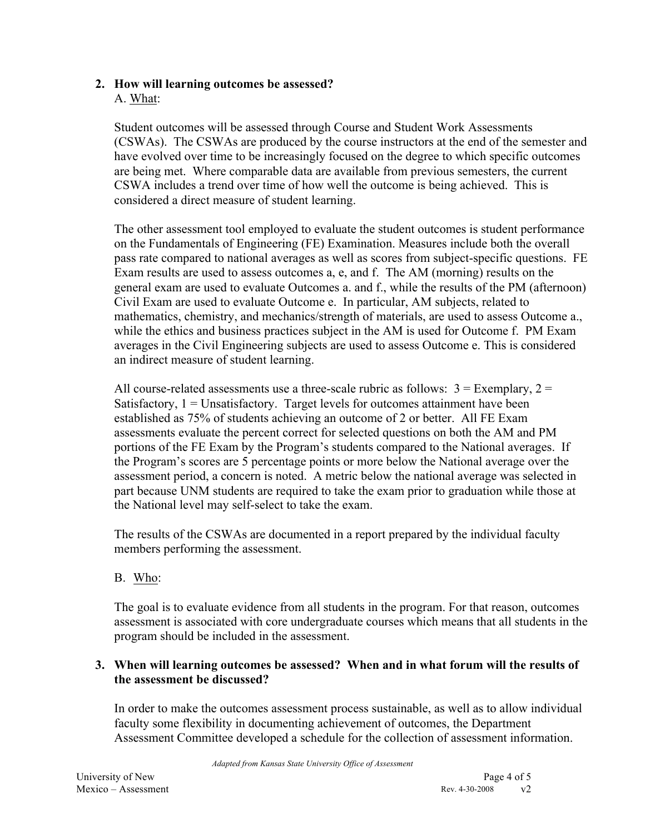# **2. How will learning outcomes be assessed?**

#### A. What:

Student outcomes will be assessed through Course and Student Work Assessments (CSWAs). The CSWAs are produced by the course instructors at the end of the semester and have evolved over time to be increasingly focused on the degree to which specific outcomes are being met. Where comparable data are available from previous semesters, the current CSWA includes a trend over time of how well the outcome is being achieved. This is considered a direct measure of student learning.

The other assessment tool employed to evaluate the student outcomes is student performance on the Fundamentals of Engineering (FE) Examination. Measures include both the overall pass rate compared to national averages as well as scores from subject-specific questions. FE Exam results are used to assess outcomes a, e, and f. The AM (morning) results on the general exam are used to evaluate Outcomes a. and f., while the results of the PM (afternoon) Civil Exam are used to evaluate Outcome e. In particular, AM subjects, related to mathematics, chemistry, and mechanics/strength of materials, are used to assess Outcome a., while the ethics and business practices subject in the AM is used for Outcome f. PM Exam averages in the Civil Engineering subjects are used to assess Outcome e. This is considered an indirect measure of student learning.

All course-related assessments use a three-scale rubric as follows:  $3 =$  Exemplary,  $2 =$ Satisfactory,  $1 =$  Unsatisfactory. Target levels for outcomes attainment have been established as 75% of students achieving an outcome of 2 or better. All FE Exam assessments evaluate the percent correct for selected questions on both the AM and PM portions of the FE Exam by the Program's students compared to the National averages. If the Program's scores are 5 percentage points or more below the National average over the assessment period, a concern is noted. A metric below the national average was selected in part because UNM students are required to take the exam prior to graduation while those at the National level may self-select to take the exam.

The results of the CSWAs are documented in a report prepared by the individual faculty members performing the assessment.

# B. Who:

The goal is to evaluate evidence from all students in the program. For that reason, outcomes assessment is associated with core undergraduate courses which means that all students in the program should be included in the assessment.

# **3. When will learning outcomes be assessed? When and in what forum will the results of the assessment be discussed?**

In order to make the outcomes assessment process sustainable, as well as to allow individual faculty some flexibility in documenting achievement of outcomes, the Department Assessment Committee developed a schedule for the collection of assessment information.